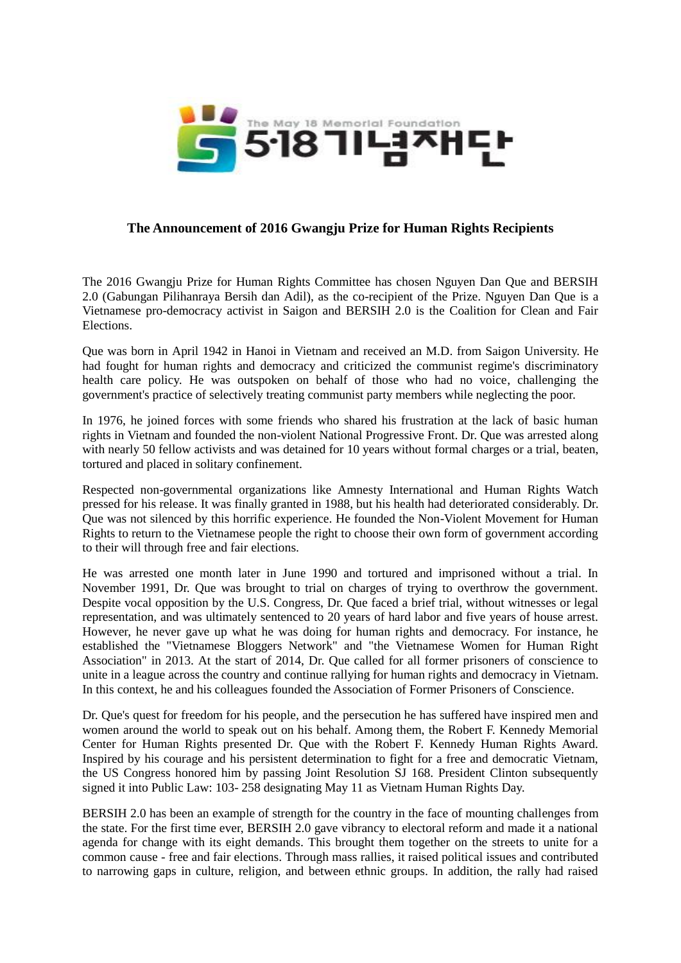

## **The Announcement of 2016 Gwangju Prize for Human Rights Recipients**

The 2016 Gwangju Prize for Human Rights Committee has chosen Nguyen Dan Que and BERSIH 2.0 (Gabungan Pilihanraya Bersih dan Adil), as the co-recipient of the Prize. Nguyen Dan Que is a Vietnamese pro-democracy activist in Saigon and BERSIH 2.0 is the Coalition for Clean and Fair Elections.

Que was born in April 1942 in Hanoi in Vietnam and received an M.D. from Saigon University. He had fought for human rights and democracy and criticized the communist regime's discriminatory health care policy. He was outspoken on behalf of those who had no voice, challenging the government's practice of selectively treating communist party members while neglecting the poor.

In 1976, he joined forces with some friends who shared his frustration at the lack of basic human rights in Vietnam and founded the non-violent National Progressive Front. Dr. Que was arrested along with nearly 50 fellow activists and was detained for 10 years without formal charges or a trial, beaten, tortured and placed in solitary confinement.

Respected non-governmental organizations like Amnesty International and Human Rights Watch pressed for his release. It was finally granted in 1988, but his health had deteriorated considerably. Dr. Que was not silenced by this horrific experience. He founded the Non-Violent Movement for Human Rights to return to the Vietnamese people the right to choose their own form of government according to their will through free and fair elections.

He was arrested one month later in June 1990 and tortured and imprisoned without a trial. In November 1991, Dr. Que was brought to trial on charges of trying to overthrow the government. Despite vocal opposition by the U.S. Congress, Dr. Que faced a brief trial, without witnesses or legal representation, and was ultimately sentenced to 20 years of hard labor and five years of house arrest. However, he never gave up what he was doing for human rights and democracy. For instance, he established the "Vietnamese Bloggers Network" and "the Vietnamese Women for Human Right Association" in 2013. At the start of 2014, Dr. Que called for all former prisoners of conscience to unite in a league across the country and continue rallying for human rights and democracy in Vietnam. In this context, he and his colleagues founded the Association of Former Prisoners of Conscience.

Dr. Que's quest for freedom for his people, and the persecution he has suffered have inspired men and women around the world to speak out on his behalf. Among them, the Robert F. Kennedy Memorial Center for Human Rights presented Dr. Que with the Robert F. Kennedy Human Rights Award. Inspired by his courage and his persistent determination to fight for a free and democratic Vietnam, the US Congress honored him by passing Joint Resolution SJ 168. President Clinton subsequently signed it into Public Law: 103- 258 designating May 11 as Vietnam Human Rights Day.

BERSIH 2.0 has been an example of strength for the country in the face of mounting challenges from the state. For the first time ever, BERSIH 2.0 gave vibrancy to electoral reform and made it a national agenda for change with its eight demands. This brought them together on the streets to unite for a common cause - free and fair elections. Through mass rallies, it raised political issues and contributed to narrowing gaps in culture, religion, and between ethnic groups. In addition, the rally had raised